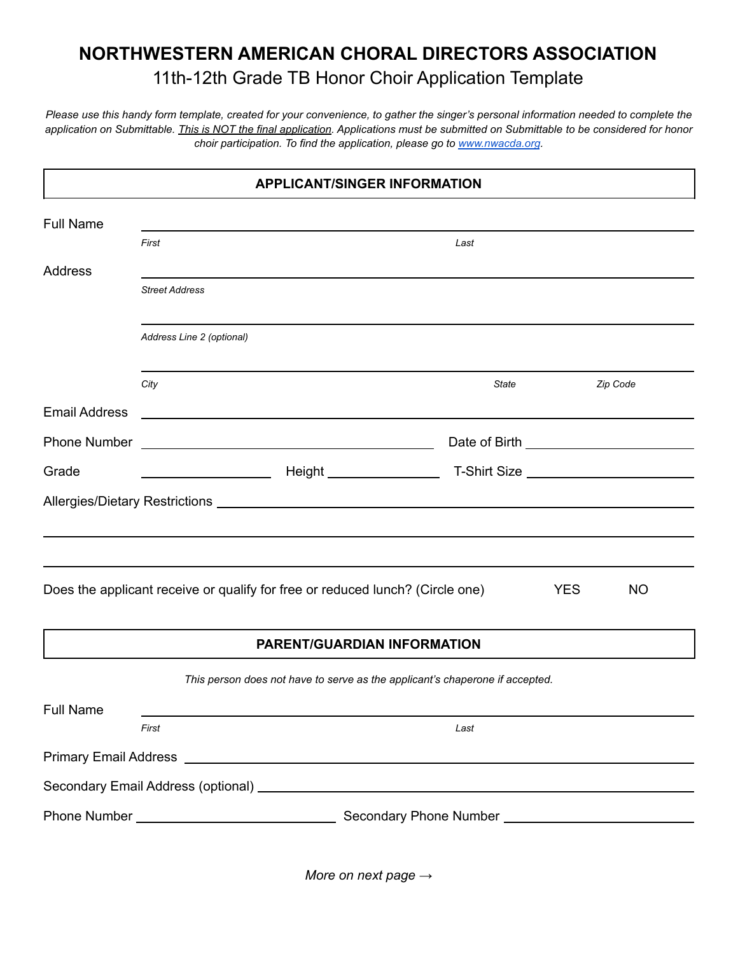## **NORTHWESTERN AMERICAN CHORAL DIRECTORS ASSOCIATION** 11th-12th Grade TB Honor Choir Application Template

*Please use this handy form template, created for your convenience, to gather the singer's personal information needed to complete the application on Submittable. This is NOT the final application. Applications must be submitted on Submittable to be considered for honor choir participation. To find the application, please go to [www.nwacda.org](http://www.nwacda.org).*

| <b>APPLICANT/SINGER INFORMATION</b> |                           |                                                                                                                  |       |            |           |  |  |  |  |
|-------------------------------------|---------------------------|------------------------------------------------------------------------------------------------------------------|-------|------------|-----------|--|--|--|--|
| <b>Full Name</b>                    |                           |                                                                                                                  |       |            |           |  |  |  |  |
|                                     | First                     |                                                                                                                  | Last  |            |           |  |  |  |  |
| <b>Address</b>                      |                           |                                                                                                                  |       |            |           |  |  |  |  |
|                                     | <b>Street Address</b>     |                                                                                                                  |       |            |           |  |  |  |  |
|                                     | Address Line 2 (optional) |                                                                                                                  |       |            |           |  |  |  |  |
|                                     | City                      |                                                                                                                  | State |            | Zip Code  |  |  |  |  |
| <b>Email Address</b>                |                           | and the control of the control of the control of the control of the control of the control of the control of the |       |            |           |  |  |  |  |
| <b>Phone Number</b>                 |                           | <u> 1989 - Johann Barbara, martxa alemaniar amerikan personal (h. 1989).</u>                                     |       |            |           |  |  |  |  |
| Grade                               |                           |                                                                                                                  |       |            |           |  |  |  |  |
|                                     |                           |                                                                                                                  |       |            |           |  |  |  |  |
|                                     |                           |                                                                                                                  |       |            |           |  |  |  |  |
|                                     |                           |                                                                                                                  |       |            |           |  |  |  |  |
|                                     |                           | Does the applicant receive or qualify for free or reduced lunch? (Circle one)                                    |       | <b>YES</b> | <b>NO</b> |  |  |  |  |
|                                     |                           | <b>PARENT/GUARDIAN INFORMATION</b>                                                                               |       |            |           |  |  |  |  |
|                                     |                           | This person does not have to serve as the applicant's chaperone if accepted.                                     |       |            |           |  |  |  |  |
| <b>Full Name</b>                    |                           |                                                                                                                  |       |            |           |  |  |  |  |
|                                     | First                     |                                                                                                                  | Last  |            |           |  |  |  |  |
|                                     |                           |                                                                                                                  |       |            |           |  |  |  |  |
|                                     |                           |                                                                                                                  |       |            |           |  |  |  |  |
|                                     |                           |                                                                                                                  |       |            |           |  |  |  |  |
|                                     |                           |                                                                                                                  |       |            |           |  |  |  |  |

*More on next page →*